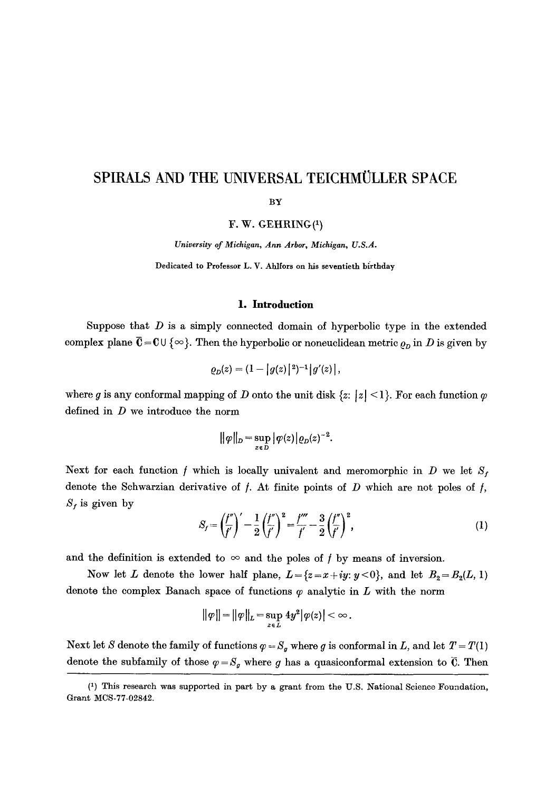# SPIRALS AND THE UNIVERSAL TEICHMÜLLER SPACE

BY

F. W. GEHRING(1)

*University of Michigan, Ann Arbor, Michigan, U.S.A.* 

Dedicated to Professor L. V. Ahlfors on his seventieth birthday

#### **1. Introduction**

Suppose that  $D$  is a simply connected domain of hyperbolic type in the extended complex plane  $\overline{C} = C \cup \{\infty\}$ . Then the hyperbolic or noneuclidean metric  $\rho_D$  in D is given by

$$
\varrho_{D}(z) = (1 - |g(z)|^2)^{-1} |g'(z)|,
$$

where g is any conformal mapping of D onto the unit disk  $\{z: |z| \leq l\}$ . For each function  $\varphi$ defined in D we introduce the norm

$$
\|\varphi\|_D = \sup_{z \in D} |\varphi(z)| \varrho_D(z)^{-2}.
$$

Next for each function f which is locally univalent and meromorphic in D we let  $S_f$ denote the Schwarzian derivative of  $f$ . At finite points of  $D$  which are not poles of  $f$ ,  $S_f$  is given by

$$
S_f = \left(\frac{f''}{f'}\right)' - \frac{1}{2}\left(\frac{f''}{f'}\right)^2 = \frac{f'''}{f'} - \frac{3}{2}\left(\frac{f''}{f'}\right)^2,\tag{1}
$$

and the definition is extended to  $\infty$  and the poles of *f* by means of inversion.

Now let L denote the lower half plane,  $L = \{z = x+iy: y < 0\}$ , and let  $B_2 = B_2(L, 1)$ denote the complex Banach space of functions  $\varphi$  analytic in  $L$  with the norm

$$
\|\varphi\| = \|\varphi\|_{L} = \sup_{z \in L} 4y^2 |\varphi(z)| < \infty.
$$

Next let S denote the family of functions  $\varphi = S_g$  where g is conformal in *L*, and let  $T = T(1)$ denote the subfamily of those  $\varphi = S_g$  where g has a quasiconformal extension to  $\overline{C}$ . Then

<sup>(1)</sup> This research was supported in part by a grant from the U.S. National Science Foundation, Grant MCS-77-02842.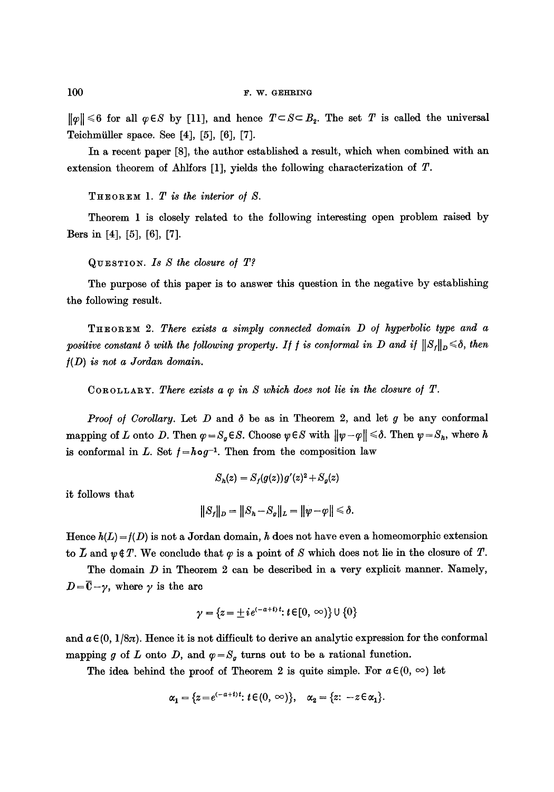$||\varphi|| \leq 6$  for all  $\varphi \in S$  by [11], and hence  $T \subset S \subset B_2$ . The set T is called the universal Teichmiiller space. See [4], [5], [6], [7].

In a recent paper [8], the author established a result, which when combined with an extension theorem of Ahlfors [1], yields the following characterization of T.

*T H ~ o R ~ M 1. T is the interior o/ S.* 

Theorem 1 is closely related to the following interesting open problem raised by Bers in [4], [5], [6], [7].

QUESTIOn. *IS S the closure o/ T?* 

The purpose of this paper is to answer this question in the negative by establishing the following result.

THEOREM 2. There exists a simply connected domain D of hyperbolic type and a *positive constant*  $\delta$  *with the following property. If f is conformal in D and if*  $||S_f||_D \leq \delta$ , then */(D) is not a Jordan domain.* 

COROLLARY. There exists a  $\varphi$  in S which does not lie in the closure of  $T$ .

*Proof of Corollary.* Let  $D$  and  $\delta$  be as in Theorem 2, and let  $g$  be any conformal mapping of L onto D. Then  $\varphi = S_q \in S$ . Choose  $\psi \in S$  with  $\|\psi - \varphi\| \leq \delta$ . Then  $\psi = S_n$ , where h is conformal in L. Set  $f = h \circ g^{-1}$ . Then from the composition law

$$
S_h(z) = S_f(g(z))g'(z)^2 + S_g(z)
$$

it follows that

$$
||S_f||_D = ||S_h - S_g||_L = ||\psi - \varphi|| \le \delta.
$$

Hence  $h(L) = f(D)$  is not a Jordan domain, h does not have even a homeomorphic extension to  $\overline{L}$  and  $\psi \notin T$ . We conclude that  $\varphi$  is a point of S which does not lie in the closure of  $T$ .

The domain  $D$  in Theorem 2 can be described in a very explicit manner. Namely,  $D=\overline{0}-\gamma$ , where  $\gamma$  is the arc

$$
\gamma = \{z = \pm i e^{(-a+i)t} : t \in [0, \infty)\} \cup \{0\}
$$

and  $a \in (0, 1/8\pi)$ . Hence it is not difficult to derive an analytic expression for the conformal mapping g of L onto D, and  $\varphi = S_a$  turns out to be a rational function.

The idea behind the proof of Theorem 2 is quite simple. For  $a \in (0, \infty)$  let

$$
\alpha_1 = \{z = e^{(-a+i)t}: t \in (0, \infty)\}, \quad \alpha_2 = \{z: -z \in \alpha_1\}.
$$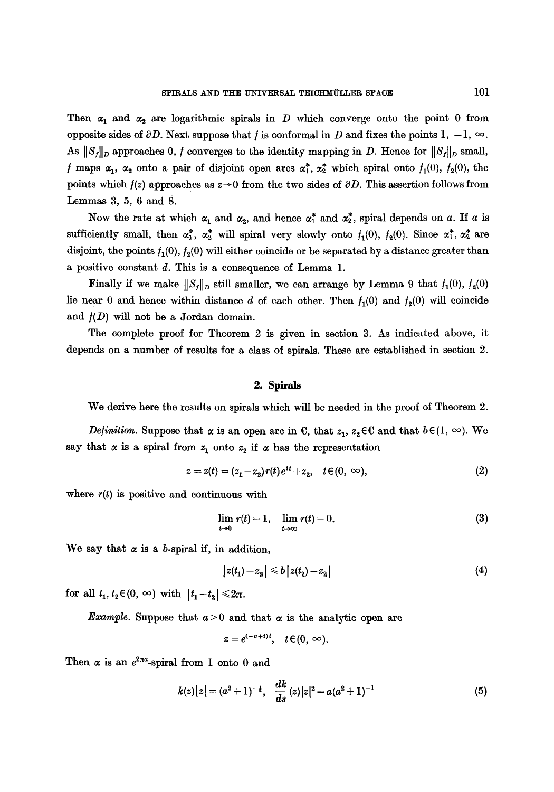Then  $\alpha_1$  and  $\alpha_2$  are logarithmic spirals in D which converge onto the point 0 from opposite sides of  $\partial D$ . Next suppose that f is conformal in D and fixes the points 1, -1,  $\infty$ . As  $||S_f||_D$  approaches 0, f converges to the identity mapping in D. Hence for  $||S_f||_D$  small, f maps  $\alpha_1$ ,  $\alpha_2$  onto a pair of disjoint open arcs  $\alpha_1^*$ ,  $\alpha_2^*$  which spiral onto  $f_1(0)$ ,  $f_2(0)$ , the points which  $f(z)$  approaches as  $z \rightarrow 0$  from the two sides of  $\partial D$ . This assertion follows from Lemmas 3, 5, 6 and 8.

Now the rate at which  $\alpha_1$  and  $\alpha_2$ , and hence  $\alpha_1^*$  and  $\alpha_2^*$ , spiral depends on a. If a is sufficiently small, then  $\alpha_1^*$ ,  $\alpha_2^*$  will spiral very slowly onto  $f_1(0)$ ,  $f_2(0)$ . Since  $\alpha_1^*$ ,  $\alpha_2^*$  are disjoint, the points  $f_1(0)$ ,  $f_2(0)$  will either coincide or be separated by a distance greater than a positive constant d. This is a consequence of Lemma 1.

Finally if we make  $||S_f||_D$  still smaller, we can arrange by Lemma 9 that  $f_1(0)$ ,  $f_2(0)$ lie near 0 and hence within distance d of each other. Then  $f_1(0)$  and  $f_2(0)$  will coincide and  $f(D)$  will not be a Jordan domain.

The complete proof for Theorem 2 is given in section 3. As indicated above, it depends on a number of results for a class of spirals. These are established in section 2.

## 2. Spirals

We derive here the results on spirals which will be needed in the proof of Theorem 2.

*Definition.* Suppose that  $\alpha$  is an open are in C, that  $z_1$ ,  $z_2 \in \mathbb{C}$  and that  $b \in (1, \infty)$ . We say that  $\alpha$  is a spiral from  $z_1$  onto  $z_2$  if  $\alpha$  has the representation

$$
z = z(t) = (z_1 - z_2) r(t) e^{it} + z_2, \quad t \in (0, \infty), \tag{2}
$$

where  $r(t)$  is positive and continuous with

$$
\lim_{t\to 0} r(t) = 1, \quad \lim_{t\to\infty} r(t) = 0. \tag{3}
$$

We say that  $\alpha$  is a b-spiral if, in addition,

$$
|z(t_1)-z_2| \leq b |z(t_2)-z_2| \tag{4}
$$

for all  $t_1, t_2 \in (0, \infty)$  with  $|t_1 - t_2| \leq 2\pi$ .

*Example.* Suppose that  $a>0$  and that  $\alpha$  is the analytic open arc

$$
z=e^{(-a+i)t},\quad t\in(0,\infty).
$$

Then  $\alpha$  is an  $e^{2\pi a}$ -spiral from 1 onto 0 and

$$
k(z)|z| = (a^2 + 1)^{-\frac{1}{2}}, \quad \frac{dk}{ds}(z)|z|^2 = a(a^2 + 1)^{-1}
$$
 (5)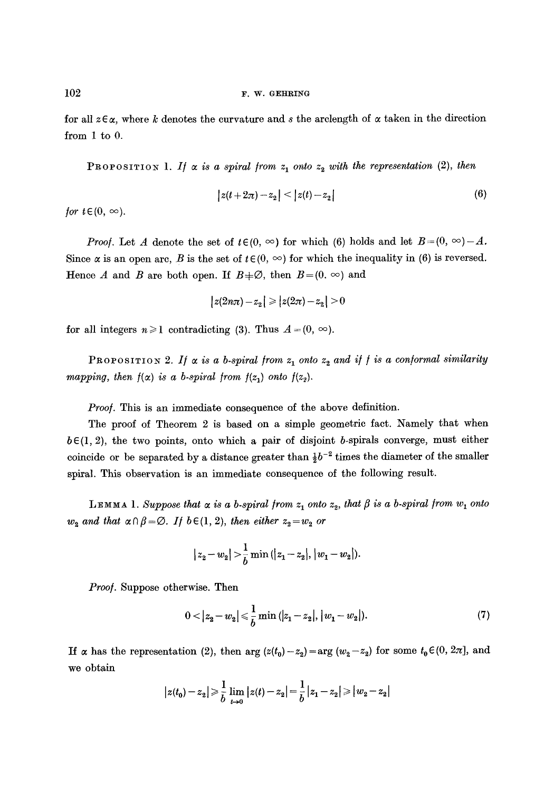for all  $z \in \alpha$ , where k denotes the curvature and s the arclength of  $\alpha$  taken in the direction from 1 to 0.

**PROPOSITION 1.** If  $\alpha$  is a spiral from  $z_1$  onto  $z_2$  with the representation (2), then

$$
|z(t+2\pi)-z_2| < |z(t)-z_2| \tag{6}
$$

*for*  $t \in (0, \infty)$ .

*Proof.* Let A denote the set of  $t \in (0, \infty)$  for which (6) holds and let  $B=(0, \infty)-A$ . Since  $\alpha$  is an open arc, B is the set of  $t \in (0, \infty)$  for which the inequality in (6) is reversed. Hence A and B are both open. If  $B+\varnothing$ , then  $B=(0, \infty)$  and

$$
|z(2n\pi)-z_2| \geq |z(2\pi)-z_2| > 0
$$

for all integers  $n \geq 1$  contradicting (3). Thus  $A = (0, \infty)$ .

**PROPOSITION 2.** If  $\alpha$  is a b-spiral from  $z_1$  onto  $z_2$  and if f is a conformal similarity *mapping, then*  $f(x)$  *is a b-spiral from*  $f(z_1)$  *onto*  $f(z_2)$ *.* 

*Proof.* This is an immediate consequence of the above definition.

The proof of Theorem 2 is based on a simple geometric fact. Namely that when  $b \in (1, 2)$ , the two points, onto which a pair of disjoint b-spirals converge, must either coincide or be separated by a distance greater than  $\frac{1}{2}b^{-2}$  times the diameter of the smaller spiral. This observation is an immediate consequence of the following result.

LEMMA 1. Suppose that  $\alpha$  is a b-spiral from  $z_1$  onto  $z_2$ , that  $\beta$  is a b-spiral from  $w_1$  onto  $w_2$  and that  $\alpha \cap \beta = \emptyset$ . If  $b \in (1, 2)$ , then either  $z_2 = w_2$  or

$$
|z_2-w_2|>\frac{1}{b}\min\left(|z_1-z_2|,|w_1-w_2|\right).
$$

*Proof.* Suppose otherwise. Then

$$
0<|z_2-w_2|\leqslant \frac{1}{b}\min\left(|z_1-z_2|,|w_1-w_2|\right).
$$
 (7)

If  $\alpha$  has the representation (2), then arg  $(z(t_0)-z_2)=\arg(w_2-z_2)$  for some  $t_0\in(0, 2\pi]$ , and we obtain

$$
\big|z(t_0)-z_2\big|\!\geqslant\!\frac{1}{b}\lim_{t\rightarrow 0}\big|z(t)-z_2\big| \!=\!\frac{1}{b}\big|z_1-z_2\big|\!\geqslant\!\big|w_2-z_2\big|
$$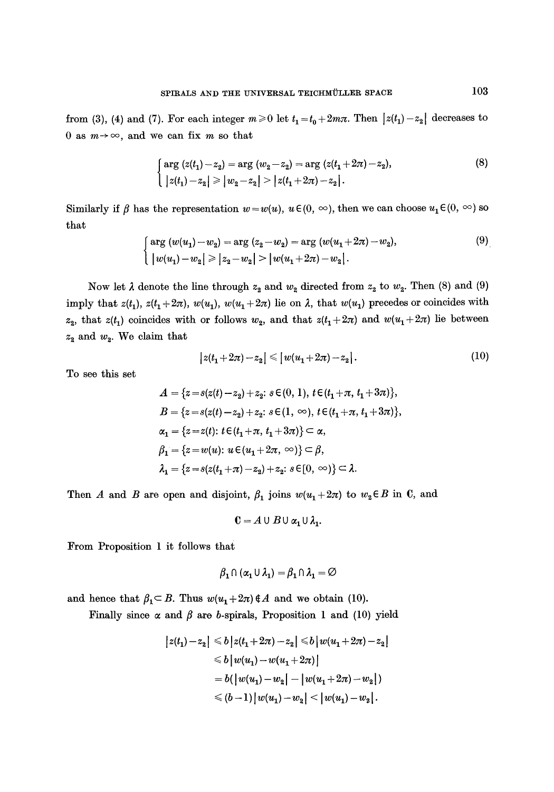from (3), (4) and (7). For each integer  $m \ge 0$  let  $t_1 = t_0 + 2m\pi$ . Then  $|z(t_1) - z_2|$  decreases to 0 as  $m \rightarrow \infty$ , and we can fix m so that

$$
\begin{cases}\n\arg(z(t_1)-z_2) = \arg(w_2-z_2) = \arg(z(t_1+2\pi)-z_2), \\
|z(t_1)-z_2| \ge |w_2-z_2| > |z(t_1+2\pi)-z_2|.\n\end{cases}
$$
\n(8)

Similarly if  $\beta$  has the representation  $w = w(u)$ ,  $u \in (0, \infty)$ , then we can choose  $u_1 \in (0, \infty)$  so that

$$
\begin{cases}\n\arg(w(u_1) - w_2) = \arg(z_2 - w_2) = \arg(w(u_1 + 2\pi) - w_2), \\
|w(u_1) - w_2| \ge |z_2 - w_2| > |w(u_1 + 2\pi) - w_2|\n\end{cases}.\n\tag{9}
$$

Now let  $\lambda$  denote the line through  $z_2$  and  $w_2$  directed from  $z_2$  to  $w_2$ . Then (8) and (9) imply that  $z(t_1)$ ,  $z(t_1+2\pi)$ ,  $w(u_1)$ ,  $w(u_1+2\pi)$  lie on  $\lambda$ , that  $w(u_1)$  precedes or coincides with  $z_2$ , that  $z(t_1)$  coincides with or follows  $w_2$ , and that  $z(t_1+2\pi)$  and  $w(u_1+2\pi)$  lie between  $z_2$  and  $w_2$ . We claim that

$$
|z(t_1 + 2\pi) - z_2| \le |w(u_1 + 2\pi) - z_2|.
$$
 (10)

To see this set

$$
A = \{z = s(z(t) - z_2) + z_2 : s \in (0, 1), t \in (t_1 + \pi, t_1 + 3\pi)\},
$$
  
\n
$$
B = \{z = s(z(t) - z_2) + z_2 : s \in (1, \infty), t \in (t_1 + \pi, t_1 + 3\pi)\},
$$
  
\n
$$
\alpha_1 = \{z = z(t) : t \in (t_1 + \pi, t_1 + 3\pi)\} \subset \alpha,
$$
  
\n
$$
\beta_1 = \{z = w(u) : u \in (u_1 + 2\pi, \infty)\} \subset \beta,
$$
  
\n
$$
\lambda_1 = \{z = s(z(t_1 + \pi) - z_2) + z_2 : s \in [0, \infty)\} \subset \lambda.
$$

Then A and B are open and disjoint,  $\beta_1$  joins  $w(u_1+2\pi)$  to  $w_2 \in B$  in C, and

$$
0 = A \cup B \cup \alpha_1 \cup \lambda_1.
$$

From Proposition 1 it follows that

$$
\beta_1 \cap (\alpha_1 \cup \lambda_1) = \beta_1 \cap \lambda_1 = \varnothing
$$

and hence that  $\beta_1 \subset B$ . Thus  $w(u_1+2\pi) \notin A$  and we obtain (10).

Finally since  $\alpha$  and  $\beta$  are b-spirals, Proposition 1 and (10) yield

$$
|z(t_1)-z_2| \le b |z(t_1+2\pi)-z_2| \le b |w(u_1+2\pi)-z_2|
$$
  
\n
$$
\le b |w(u_1)-w(u_1+2\pi)|
$$
  
\n
$$
= b(|w(u_1)-w_2|-|w(u_1+2\pi)-w_2|)
$$
  
\n
$$
\le (b-1)|w(u_1)-w_2| < |w(u_1)-w_2|.
$$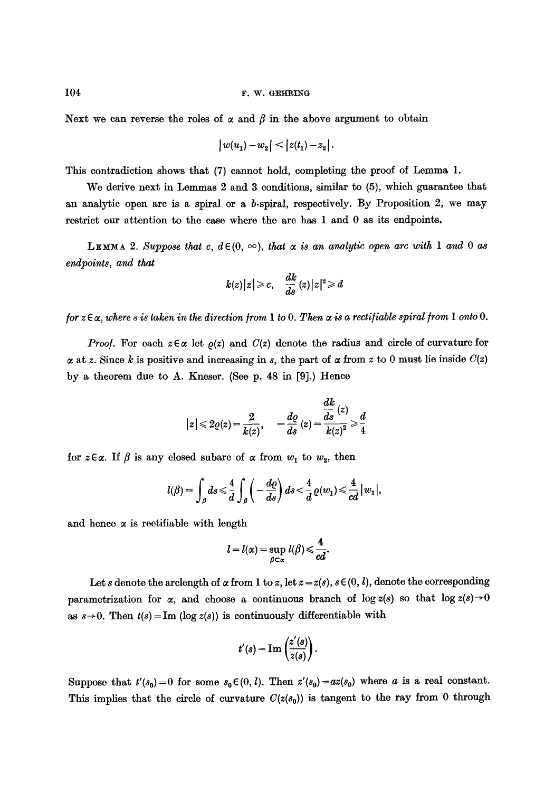Next we can reverse the roles of  $\alpha$  and  $\beta$  in the above argument to obtain

$$
\big|w(u_1)-w_2\big|< \big|z(t_1)-z_2\big|\,.
$$

This contradiction shows that (7) cannot hold, completing the proof of Lemma 1.

We derive next in Lemmas 2 and 3 conditions, similar to (5), which guarantee that an analytic open arc is a spiral or a b-spiral, respectively. By Proposition 2, we may restrict our attention to the case where the arc has 1 and 0 as its endpoints.

LEMMA 2. Suppose that c,  $d \in (0, \infty)$ , that  $\alpha$  is an analytic open arc with 1 and 0 as *endpoints, and that* 

$$
k(z)|z|\geqslant c,\quad \frac{dk}{ds}\,(z)|z|^2\!\geqslant\! d
$$

*for*  $z \in \alpha$ , where s is taken in the direction from 1 to 0. Then  $\alpha$  is a rectifiable spiral from 1 onto 0.

*Proof.* For each  $z \in \alpha$  let  $\rho(z)$  and  $C(z)$  denote the radius and circle of curvature for  $\alpha$  at z. Since k is positive and increasing in s, the part of  $\alpha$  from z to 0 must lie inside  $C(z)$ by a theorem due to A. Kneser. (See p. 48 in [9].) Hence

$$
|z|\leqslant 2\varrho(z)=\frac{2}{k(z)},\quad -\frac{d\varrho}{ds}\left( z\right)=\frac{\displaystyle\frac{dk}{ds}\left( z\right)}{k(z)^{2}}\geqslant \frac{d}{4}
$$

for  $z \in \alpha$ . If  $\beta$  is any closed subarc of  $\alpha$  from  $w_1$  to  $w_2$ , then

$$
l(\beta) = \int_{\beta} ds \leq \frac{4}{d} \int_{\beta} \left( -\frac{d\varrho}{ds} \right) ds < \frac{4}{d} \varrho(w_1) \leq \frac{4}{cd} |w_1|,
$$

and hence  $\alpha$  is rectifiable with length

$$
l=l(\alpha)=\sup_{\beta\subset\alpha}l(\beta)\leqslant\frac{4}{cd}.
$$

Let s denote the arclength of  $\alpha$  from 1 to z, let  $z = z(s)$ ,  $s \in (0, l)$ , denote the corresponding parametrization for  $\alpha$ , and choose a continuous branch of log  $z(s)$  so that log  $z(s) \rightarrow 0$ as  $s\rightarrow 0$ . Then  $t(s)$  = Im (log  $z(s)$ ) is continuously differentiable with

$$
t'(s) = \mathrm{Im}\left(\frac{z'(s)}{z(s)}\right).
$$

Suppose that  $t'(s_0)=0$  for some  $s_0\in(0, l)$ . Then  $z'(s_0)=az(s_0)$  where a is a real constant. This implies that the circle of curvature  $C(z(s_0))$  is tangent to the ray from 0 through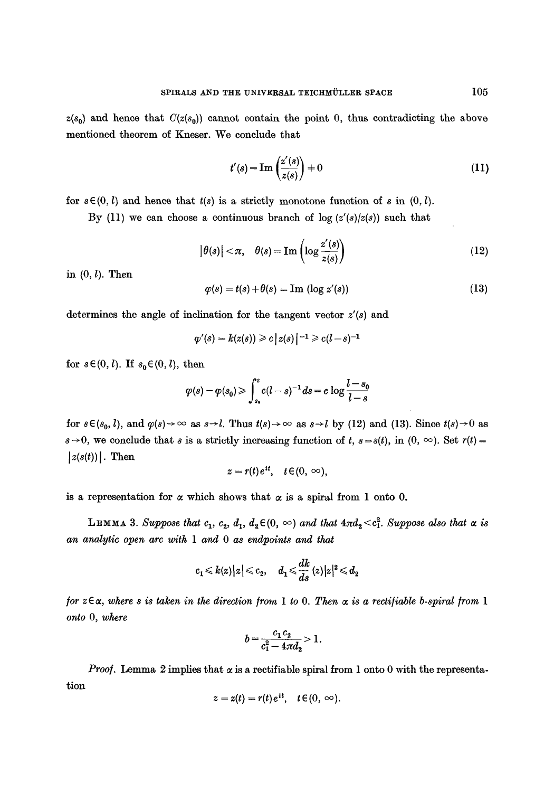$z(s_0)$  and hence that  $C(z(s_0))$  cannot contain the point 0, thus contradicting the above mentioned theorem of Kneser. We conclude that

$$
t'(s) = \operatorname{Im}\left(\frac{z'(s)}{z(s)}\right) \neq 0\tag{11}
$$

for  $s \in (0, l)$  and hence that  $t(s)$  is a strictly monotone function of s in  $(0, l)$ .

By (11) we can choose a continuous branch of  $\log (z'(s)/z(s))$  such that

$$
|\theta(s)| < \pi, \quad \theta(s) = \text{Im}\left(\log \frac{z'(s)}{z(s)}\right)
$$
 (12)

in  $(0, l)$ . Then

$$
\varphi(s) = t(s) + \theta(s) = \text{Im} (\log z'(s)) \tag{13}
$$

determines the angle of inclination for the tangent vector *z'(s)* and

$$
\varphi'(s)=k(z(s))\geqslant c\,\bigl\vert\,z(s)\,\bigr\vert^{\,-1}\geqslant c(l-s)^{-1}
$$

for  $s \in (0, l)$ . If  $s_0 \in (0, l)$ , then

$$
\varphi(s)-\varphi(s_0) \geqslant \int_{s_0}^s c(l-s)^{-1} \, ds = c \, \log \frac{l-s_0}{l-s}
$$

for  $s \in (s_0, l)$ , and  $\varphi(s) \to \infty$  as  $s \to l$ . Thus  $t(s) \to \infty$  as  $s \to l$  by (12) and (13). Since  $t(s) \to 0$  as  $s \rightarrow 0$ , we conclude that *s* is a strictly increasing function of *t*,  $s=s(t)$ , in  $(0, \infty)$ . Set  $r(t)=$  $|z(s(t))|$ . Then

$$
z = r(t) e^{it}, \quad t \in (0, \infty),
$$

is a representation for  $\alpha$  which shows that  $\alpha$  is a spiral from 1 onto 0.

**LEMMA 3.** Suppose that  $c_1, c_2, d_1, d_2 \in (0, \infty)$  and that  $4\pi d_2 < c_1^2$ . Suppose also that  $\alpha$  is *an analytic open arc with 1 and 0 as endpoints and that* 

$$
c_1\leqslant k(z)\big|z\big|\leqslant c_2,\quad d_1\leqslant \frac{dk}{ds}\,(z)\big|z\big|^2\leqslant d_2
$$

*for*  $z \in \alpha$ , where s is taken in the direction from 1 to 0. Then  $\alpha$  is a rectifiable b-spiral from 1 *onto* 0, *where* 

$$
b=\frac{c_1 c_2}{c_1^2-4\pi d_2}>1.
$$

*Proof.* Lemma 2 implies that  $\alpha$  is a rectifiable spiral from 1 onto 0 with the representation

$$
z=z(t)=r(t)e^{it}, \quad t\in (0,\infty).
$$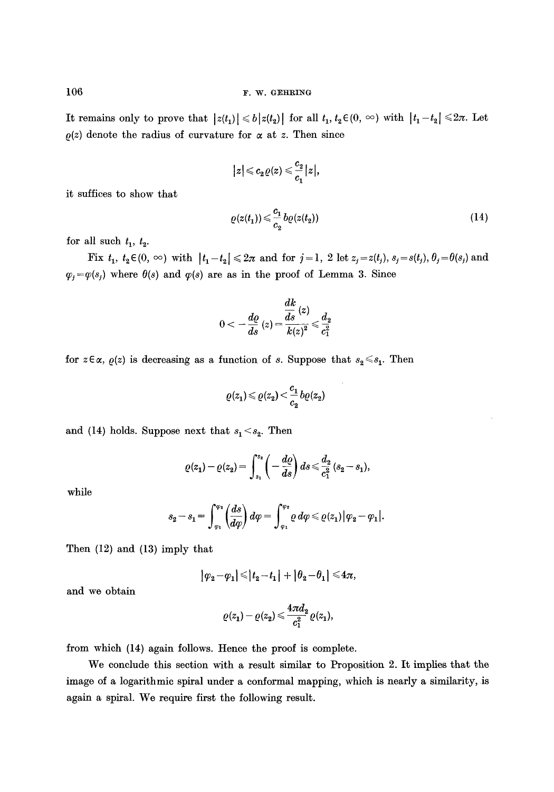It remains only to prove that  $|z(t_1)| \leq b |z(t_2)|$  for all  $t_1, t_2 \in (0, \infty)$  with  $|t_1 - t_2| \leq 2\pi$ . Let  $\rho(z)$  denote the radius of curvature for  $\alpha$  at z. Then since

$$
|z|\leqslant c_2\varrho(z)\leqslant \frac{c_2}{c_1}|z|,
$$

it suffices to show that

$$
\varrho(z(t_1)) \leqslant \frac{c_1}{c_2} b\varrho(z(t_2))\tag{14}
$$

for all such  $t_1$ ,  $t_2$ .

Fix  $t_1$ ,  $t_2 \in (0, \infty)$  with  $|t_1-t_2| \leq 2\pi$  and for  $j=1, 2$  let  $z_j=z(t_j)$ ,  $s_j=s(t_j)$ ,  $\theta_j=\theta(s_j)$  and  $\varphi_j = \varphi(s_j)$  where  $\theta(s)$  and  $\varphi(s)$  are as in the proof of Lemma 3. Since

$$
0<-\frac{d\varrho}{ds}\left(z\right)\!=\!\frac{\dfrac{dk}{ds}\left(z\right)}{k\!\left(z\right)^{2}}\!\leqslant\!\frac{d_{2}}{c_{1}^{2}}
$$

for  $z \in \alpha$ ,  $\varrho(z)$  is decreasing as a function of s. Suppose that  $s_2 \leq s_1$ . Then

$$
\varrho(z_1)\!\leqslant\!\varrho(z_2)\!<\!\frac{c_1}{c_2}b\varrho(z_2)
$$

and (14) holds. Suppose next that  $s_1 < s_2$ . Then

$$
\varrho(z_1)-\varrho(z_2)=\int_{s_1}^{s_2}\left(-\,\frac{d\varrho}{ds}\right)ds\!\leqslant\!\frac{d_2}{c_1^2}\,(s_2-s_1),
$$

while

$$
s_2-s_1=\int_{\varphi_1}^{\varphi_2}\left(\frac{ds}{d\varphi}\right)d\varphi=\int_{\varphi_1}^{\varphi_2}\varrho\,d\varphi\leqslant\varrho(z_1)\big|\varphi_2-\varphi_1\big|.
$$

Then (12) and (13) imply that

$$
|\varphi_2-\varphi_1|\leqslant |t_2-t_1|+|\theta_2-\theta_1|\leqslant 4\pi,
$$

and we obtain

$$
\varrho(z_1)-\varrho(z_2) \leqslant \frac{4\pi d_2}{c_1^2}\varrho(z_1),
$$

from which (14) again follows. Hence the proof is complete.

We conclude this section with a result similar to Proposition 2. It implies that the image of a logarithmic spiral under a conformal mapping, which is nearly a similarity, is again a spiral. We require first the following result.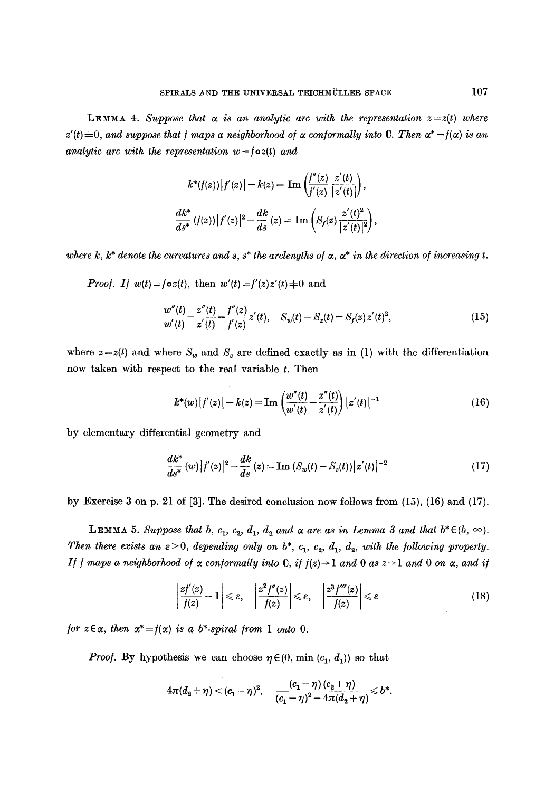**LEMMA 4.** Suppose that  $\alpha$  is an analytic arc with the representation  $z=z(t)$  where  $z'(t)$  $\neq$ 0, and suppose that *f* maps a neighborhood of  $\alpha$  conformally into C. Then  $\alpha^* = f(\alpha)$  is an *analytic arc with the representation*  $w = f \circ z(t)$  *and* 

$$
k^*(f(z)) |f'(z)| - k(z) = \text{Im} \left( \frac{f''(z)}{f'(z)} \frac{z'(t)}{|z'(t)|} \right),
$$
  

$$
\frac{dk^*}{ds^*} (f(z)) |f'(z)|^2 - \frac{dk}{ds} (z) = \text{Im} \left( S_f(z) \frac{z'(t)^2}{|z'(t)|^2} \right),
$$

where k,  $k^*$  denote the curvatures and s,  $s^*$  the arclengths of  $\alpha$ ,  $\alpha^*$  in the direction of increasing t.

*Proof.* If 
$$
w(t) = f \circ z(t)
$$
, then  $w'(t) = f'(z)z'(t) \neq 0$  and

$$
\frac{w''(t)}{w'(t)} - \frac{z''(t)}{z'(t)} = \frac{f''(z)}{f'(z)}z'(t), \quad S_w(t) - S_z(t) = S_f(z)z'(t)^2,
$$
\n(15)

where  $z=z(t)$  and where  $S_w$  and  $S_z$  are defined exactly as in (1) with the differentiation now taken with respect to the real variable t. Then

$$
k^*(w) |f'(z)| - k(z) = \operatorname{Im} \left( \frac{w''(t)}{w'(t)} - \frac{z''(t)}{z'(t)} \right) |z'(t)|^{-1}
$$
 (16)

by elementary differential geometry and

$$
\frac{dk^*}{ds^*}(w)|f'(z)|^2 - \frac{dk}{ds}(z) = \text{Im}\left(S_w(t) - S_z(t)\right)|z'(t)|^{-2} \tag{17}
$$

by Exercise 3 on p. 21 of [3]. The desired conclusion now follows from (15), (16) and (17).

**LEMMA** 5. Suppose that b,  $c_1$ ,  $c_2$ ,  $d_1$ ,  $d_2$  and  $\alpha$  are as in Lemma 3 and that  $b^* \in (b, \infty)$ . *Then there exists an*  $\varepsilon > 0$ *, depending only on*  $b^*$ *, c<sub>1</sub>, c<sub>2</sub>, d<sub>1</sub>, d<sub>2</sub>, with the following property. If f maps a neighborhood of*  $\alpha$  *conformally into C, if*  $f(z) \rightarrow 1$  *and 0 as*  $z \rightarrow 1$  *and 0 on*  $\alpha$ *, and if* 

$$
\left|\frac{zf'(z)}{f(z)}-1\right|\leq \varepsilon, \quad \left|\frac{z^2f''(z)}{f(z)}\right|\leq \varepsilon, \quad \left|\frac{z^3f'''(z)}{f(z)}\right|\leq \varepsilon \tag{18}
$$

*for*  $z \in \alpha$ *, then*  $\alpha^* = f(\alpha)$  *is a b\*-spiral from* 1 *onto* 0.

*Proof.* By hypothesis we can choose  $\eta \in (0, \min(c_1, d_1))$  so that

$$
4\pi(d_2+\eta)<\left(c_1-\eta\right)^2,\quad \frac{\left(c_1-\eta\right)\left(c_2+\eta\right)}{\left(c_1-\eta\right)^2-4\pi(d_2+\eta)}\leqslant b^*.
$$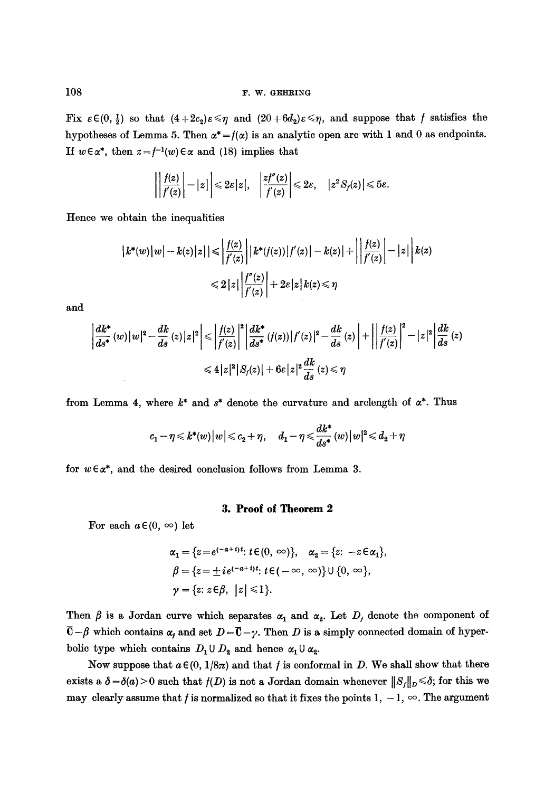Fix  $\varepsilon \in (0, \frac{1}{2})$  so that  $(4+2c_2)\varepsilon \leq \eta$  and  $(20+6d_2)\varepsilon \leq \eta$ , and suppose that f satisfies the hypotheses of Lemma 5. Then  $\alpha^* = f(\alpha)$  is an analytic open arc with 1 and 0 as endpoints. If  $w \in \alpha^*$ , then  $z = f^{-1}(w) \in \alpha$  and (18) implies that

$$
\left|\left|\frac{f(z)}{f'(z)}\right|-|z|\right|\leq 2\varepsilon|z|,\quad \left|\frac{zf''(z)}{f'(z)}\right|\leq 2\varepsilon,\quad |z^2S_f(z)|\leqslant 5\varepsilon.
$$

Hence we obtain the inequalities

$$
|k^*(w)|w| - k(z)|z| \le \left| \frac{f(z)}{f'(z)} \right| |k^*(f(z))|f'(z)| - k(z)| + \left| \left| \frac{f(z)}{f'(z)} \right| - |z| \right| k(z)
$$
  

$$
\le 2|z| \left| \frac{f''(z)}{f'(z)} \right| + 2\varepsilon |z| k(z) \le \eta
$$

and

$$
\left| \frac{dk^*}{ds^*} (w) |w|^2 - \frac{dk}{ds} (z) |z|^2 \right| \leq \left| \frac{f(z)}{f'(z)} \right|^2 \left| \frac{dk^*}{ds^*} (f(z)) |f'(z)|^2 - \frac{dk}{ds} (z) \right| + \left| \left| \frac{f(z)}{f'(z)} \right|^2 - |z|^2 \right| \frac{dk}{ds} (z)
$$
  

$$
\leq 4 |z|^2 |S_f(z)| + 6\varepsilon |z|^2 \frac{dk}{ds} (z) \leq \eta
$$

from Lemma 4, where  $k^*$  and  $s^*$  denote the curvature and arclength of  $\alpha^*$ . Thus

$$
c_1-\eta \leqslant k^*(w)\|w\|\leqslant c_2+\eta,\quad d_1-\eta \leqslant \frac{dk^*}{ds^*}\,(w)\|w\|^2\!\leqslant d_2+\eta
$$

for  $w \in \alpha^*$ , and the desired conclusion follows from Lemma 3.

## **3. Proof of Theorem 2**

For each  $a \in (0, \infty)$  let

$$
\alpha_1 = \{z = e^{(-a+i)t}: t \in (0, \infty)\}, \quad \alpha_2 = \{z: -z \in \alpha_1\},
$$
  
\n
$$
\beta = \{z = \pm ie^{(-a+i)t}: t \in (-\infty, \infty)\} \cup \{0, \infty\},
$$
  
\n
$$
\gamma = \{z: z \in \beta, \ |z| \leq 1\}.
$$

Then  $\beta$  is a Jordan curve which separates  $\alpha_1$  and  $\alpha_2$ . Let  $D_j$  denote the component of  $\overline{C}-\beta$  which contains  $\alpha_i$  and set  $D=\overline{C}-\gamma$ . Then D is a simply connected domain of hyperbolic type which contains  $D_1 \cup D_2$  and hence  $\alpha_1 \cup \alpha_2$ .

Now suppose that  $a \in (0, 1/8\pi)$  and that f is conformal in D. We shall show that there exists a  $\delta = \delta(a) > 0$  such that  $f(D)$  is not a Jordan domain whenever  $||S_f||_D \le \delta$ ; for this we may clearly assume that f is normalized so that it fixes the points 1,  $-1$ ,  $\infty$ . The argument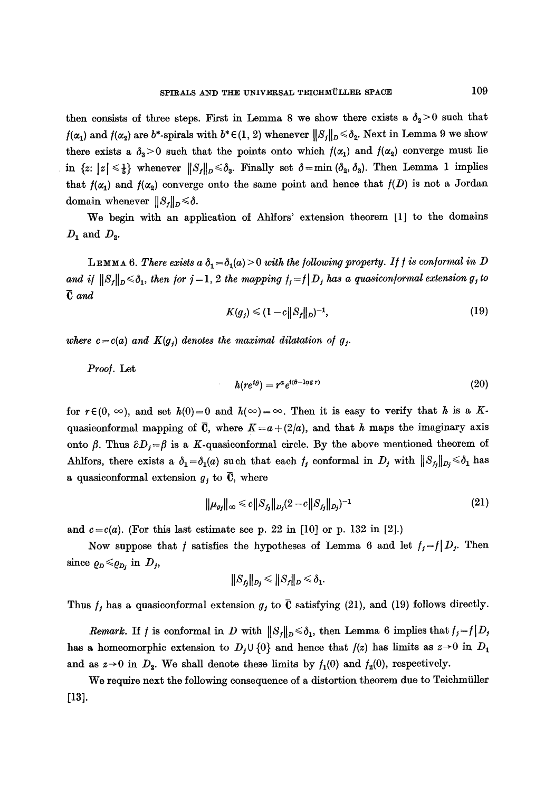then consists of three steps. First in Lemma 8 we show there exists a  $\delta_2 > 0$  such that  $f(\alpha_1)$  and  $f(\alpha_2)$  are  $b^*$ -spirals with  $b^* \in (1, 2)$  whenever  $||S_f||_D \le \delta_2$ . Next in Lemma 9 we show there exists a  $\delta_3>0$  such that the points onto which  $f(\alpha_1)$  and  $f(\alpha_2)$  converge must lie in  $\{z: |z| \leq \frac{1}{b}\}$  whenever  $||S_f||_D \leq \delta_3$ . Finally set  $\delta = \min (\delta_2, \delta_3)$ . Then Lemma 1 implies that  $f(\alpha_1)$  and  $f(\alpha_2)$  converge onto the same point and hence that  $f(D)$  is not a Jordan **domain** whenever  $||S_f||_D \le \delta$ .

We begin with an application of Ahlfors' extension theorem [1] to the domains  $D_1$  and  $D_2$ .

LEMMA 6. There exists a  $\delta_1 = \delta_1(a) > 0$  with the following property. If f is conformal in D and if  $||S_f||_D \le \delta_1$ , then for  $j=1, 2$  the mapping  $f_i=f|D_f$  has a quasiconformal extension g<sub>j</sub> to *fJ and* 

$$
K(g_j) \leq (1 - c||S_f||_D)^{-1},\tag{19}
$$

*where c* =  $c(a)$  *and*  $K(g_j)$  *denotes the maximal dilatation of g<sub>j</sub>.* 

*Proo/.* Lot

$$
h(re^{i\theta}) = r^a e^{i(\theta - \log r)}\tag{20}
$$

for  $r \in (0, \infty)$ , and set  $h(0)=0$  and  $h(\infty)=\infty$ . Then it is easy to verify that h is a Kquasiconformal mapping of  $\bar{C}$ , where  $K = a + (2/a)$ , and that h maps the imaginary axis onto  $\beta$ . Thus  $\partial D_j = \beta$  is a K-quasiconformal circle. By the above mentioned theorem of Ahlfors, there exists a  $\delta_1=\delta_1(a)$  such that each  $f_j$  conformal in  $D_j$  with  $||S_{f_j}||_{D_j}\leq \delta_1$  has a quasiconformal extension  $g_j$  to  $\overline{C}$ , where

$$
\|\mu_{g_j}\|_{\infty} \leq c \|S_{f_j}\|_{D_j} (2-c \|S_{f_j}\|_{D_j})^{-1}
$$
\n(21)

and  $c = c(a)$ . (For this last estimate see p. 22 in [10] or p. 132 in [2].)

Now suppose that f satisfies the hypotheses of Lemma 6 and let  $f_j=f(D_j)$ . Then since  $\rho_D \leqslant \rho_{D_j}$  in  $D_j$ ,

$$
\|S_{f_j}\|_{D_j}\leqslant \|S_{f}\|_{D}\leqslant \delta_1
$$

Thus  $f_j$  has a quasiconformal extension  $g_j$  to  $\overline{C}$  satisfying (21), and (19) follows directly.

*Remark.* If f is conformal in D with  $||S_j||_D \le \delta_1$ , then Lemma 6 implies that  $f_j = f|D_j$ has a homeomorphic extension to  $D_j \cup \{0\}$  and hence that  $f(z)$  has limits as  $z\rightarrow 0$  in  $D_1$ and as  $z\rightarrow 0$  in  $D_2$ . We shall denote these limits by  $f_1(0)$  and  $f_2(0)$ , respectively.

We require next the following consequence of a distortion theorem due to Teichmiiller [13].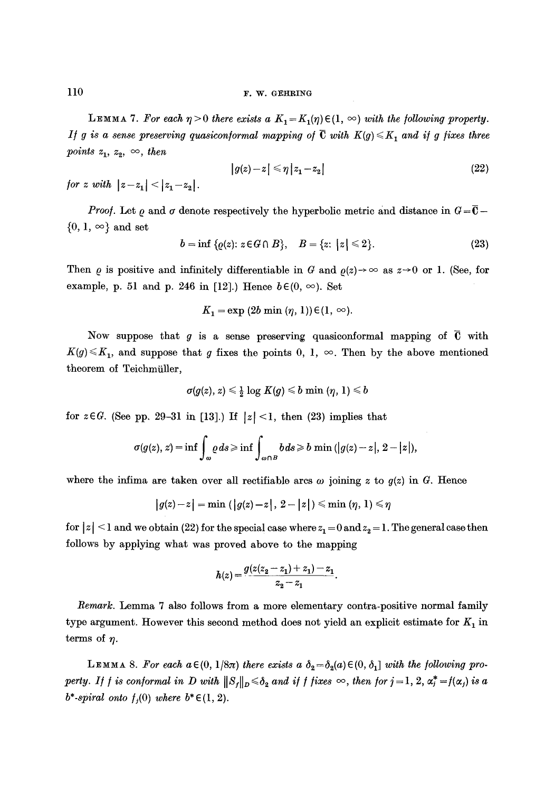LEMMA 7. For each  $\eta > 0$  there exists a  $K_1 = K_1(\eta) \in (1, \infty)$  with the following property. *If g is a sense preserving quasiconformal mapping of*  $\bar{C}$  with  $K(g) \leq K_1$  and if g fixes three *points*  $z_1, z_2, \infty$ , then

$$
|g(z)-z| \leq \eta |z_1 - z_2| \tag{22}
$$

*for z with*  $|z-z_1| < |z_1-z_2|$ .

*Proof.* Let  $\rho$  and  $\sigma$  denote respectively the hyperbolic metric and distance in  $G = \overline{C}$  $\{0, 1, \infty\}$  and set

$$
b = \inf \{ \varrho(z) : z \in G \cap B \}, \quad B = \{ z : |z| \leq 2 \}. \tag{23}
$$

Then  $\rho$  is positive and infinitely differentiable in G and  $\rho(z)\to\infty$  as  $z\to0$  or 1. (See, for example, p. 51 and p. 246 in [12].) Hence  $b \in (0, \infty)$ . Set

$$
K_1 = \exp(2b \min(\eta, 1)) \in (1, \infty).
$$

Now suppose that g is a sense preserving quasiconformal mapping of  $\bar{C}$  with  $K(g) \leq K_1$ , and suppose that g fixes the points 0, 1,  $\infty$ . Then by the above mentioned theorem of Teichmiiller,

$$
\sigma(g(z),\,z) \leqslant \tfrac{1}{2}\log\,K(g) \leqslant b\,\min\,(\eta,\,1) \leqslant b
$$

for  $z \in G$ . (See pp. 29-31 in [13].) If  $|z| < 1$ , then (23) implies that

$$
\sigma(g(z), z) = \inf \int_{\omega} \varrho \, ds \geq \inf \int_{\omega \cap B} b \, ds \geq b \, \min \left( |g(z) - z|, 2 - |z| \right),
$$

where the infima are taken over all rectifiable arcs  $\omega$  joining z to  $g(z)$  in G. Hence

$$
\big|g(z)-z\big|=\min\left(\big|\,g(z)-z\,\big|\,,\,2-\big|z\,\big|\right)\leqslant\min\left(\eta,\,1\right)\leqslant\eta
$$

for  $|z| \leq 1$  and we obtain (22) for the special case where  $z_1 = 0$  and  $z_2 = 1$ . The general case then follows by applying what was proved above to the mapping

$$
h(z) = \frac{g(z(z_2 - z_1) + z_1) - z_1}{z_2 - z_1}.
$$

*Remark.* Lemma 7 also follows from a more elementary contra-positive normal family type argument. However this second method does not yield an explicit estimate for  $K_1$  in terms of  $\eta$ .

**LEMMA** 8. For each  $a \in (0, 1/8\pi)$  *there exists*  $a \, \delta_2 = \delta_2(a) \in (0, \delta_1]$  *with the following property. If f is conformal in D with*  $||S_f||_D \le \delta_2$  and if f fixes  $\infty$ , then for  $j = 1, 2, \alpha_j^* = f(\alpha_j)$  is a *b\*-spiral onto*  $f_i(0)$  where  $b^* \in (1, 2)$ .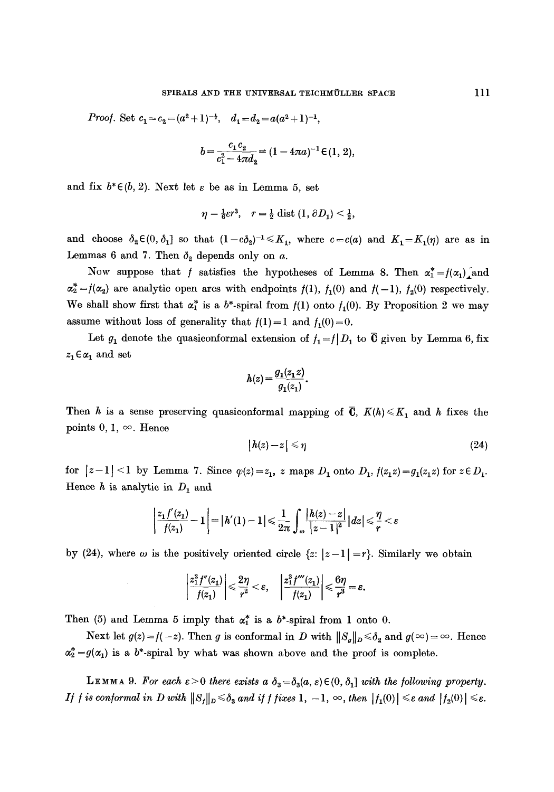*Proof.* Set  $c_1 = c_2 = (a^2 + 1)^{-\frac{1}{2}}, d_1 = d_2 = a(a^2 + 1)^{-1},$ 

$$
b = \frac{c_1 c_2}{c_1^2 - 4\pi d_2} = (1 - 4\pi a)^{-1} \in (1, 2),
$$

and fix  $b^* \in (b, 2)$ . Next let  $\varepsilon$  be as in Lemma 5, set

$$
\eta = \frac{1}{6}\varepsilon r^3, \quad r = \frac{1}{2} \operatorname{dist} (1, \partial D_1) < \frac{1}{2},
$$

and choose  $\delta_2 \in (0, \delta_1]$  so that  $(1-c\delta_2)^{-1} \leq K_1$ , where  $c=c(a)$  and  $K_1=K_1(\eta)$  are as in Lemmas 6 and 7. Then  $\delta_2$  depends only on a.

Now suppose that f satisfies the hypotheses of Lemma 8. Then  $\alpha_1^* = f(\alpha_1)$  and  $\alpha_2^* = f(\alpha_2)$  are analytic open arcs with endpoints  $f(1)$ ,  $f_1(0)$  and  $f(-1)$ ,  $f_2(0)$  respectively. We shall show first that  $\alpha_1^*$  is a b\*-spiral from  $f(1)$  onto  $f_1(0)$ . By Proposition 2 we may assume without loss of generality that  $f(1)=1$  and  $f_1(0)=0$ .

Let  $g_1$  denote the quasiconformal extension of  $f_1=f|D_1$  to  $\overline{0}$  given by Lemma 6, fix  $z_1 \!\in\! \alpha_1$  and set

$$
h(z) = \frac{g_1(z_1 z)}{g_1(z_1)}.
$$

Then h is a sense preserving quasiconformal mapping of  $\overline{C}$ ,  $K(h) \leq K_1$  and h fixes the points 0, 1,  $\infty$ . Hence

$$
|h(z)-z|\leqslant \eta \tag{24}
$$

for  $|z-1| < 1$  by Lemma 7. Since  $\varphi(z) = z_1$ , z maps  $D_1$  onto  $D_1$ ,  $f(z_1z) = g_1(z_1z)$  for  $z \in D_1$ . Hence  $h$  is analytic in  $D_1$  and

$$
\left|\frac{z_1f'(z_1)}{f(z_1)}-1\right| = |h'(1)-1| \leq \frac{1}{2\pi} \int_{\omega} \frac{|h(z)-z|}{|z-1|^2} |dz| \leq \frac{\eta}{r} < \varepsilon
$$

by (24), where  $\omega$  is the positively oriented circle  $\{z: |z-1|=r\}$ . Similarly we obtain

$$
\left|\frac{z_1^2 f''(z_1)}{f(z_1)}\right| \leqslant \frac{2\eta}{r^2} < \varepsilon, \quad \left|\frac{z_1^3 f'''(z_1)}{f(z_1)}\right| \leqslant \frac{6\eta}{r^3} = \varepsilon.
$$

Then (5) and Lemma 5 imply that  $\alpha_1^*$  is a b\*-spiral from 1 onto 0.

Next let  $g(z) = f(-z)$ . Then g is conformal in D with  $||S_g||_D \le \delta_2$  and  $g(\infty) = \infty$ . Hence  $\alpha_2^* = g(\alpha_1)$  is a b<sup>\*</sup>-spiral by what was shown above and the proof is complete.

**LEMMA** 9. For each  $\varepsilon > 0$  there exists a  $\delta_3 = \delta_3(a, \varepsilon) \in (0, \delta_1]$  with the following property. *If f is conformal in D with*  $||S_f||_D \le \delta_3$  *and if f fixes* 1,  $-1$ ,  $\infty$ , *then*  $|f_1(0)| \le \varepsilon$  *and*  $|f_2(0)| \le \varepsilon$ .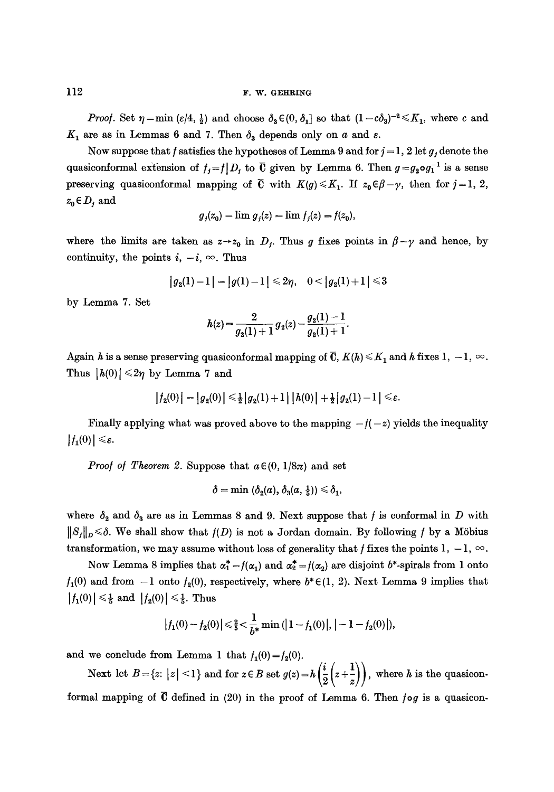### $112$  F.W. GEHRING

*Proof.* Set  $\eta = \min (\varepsilon/4, \frac{1}{2})$  and choose  $\delta_3 \in (0, \delta_1]$  so that  $(1-c\delta_3)^{-2} \leq K_1$ , where c and  $K_1$  are as in Lemmas 6 and 7. Then  $\delta_3$  depends only on a and  $\varepsilon$ .

Now suppose that f satisfies the hypotheses of Lemma 9 and for  $j = 1, 2$  let g, denote the quasiconformal extension of  $f_j=f|D_j$  to  $\overline{C}$  given by Lemma 6. Then  $g=g_2 \circ g_1^{-1}$  is a sense preserving quasiconformal mapping of  $\overline{C}$  with  $K(g) \leq K_1$ . If  $z_0 \in \beta - \gamma$ , then for  $j = 1, 2$ ,  $z_0 \in D_j$  and

$$
g_j(z_0) = \lim g_j(z) = \lim f_j(z) = f(z_0),
$$

where the limits are taken as  $z \rightarrow z_0$  in  $D_f$ . Thus g fixes points in  $\beta - \gamma$  and hence, by continuity, the points  $i, -i, \infty$ . Thus

$$
|g_2(1)-1|=|g(1)-1|\leq 2\eta, \quad 0<|g_2(1)+1|\leq 3
$$

by Lemma 7. Set

$$
h(z) = \frac{2}{g_2(1)+1} g_2(z) - \frac{g_2(1)-1}{g_2(1)+1}.
$$

Again h is a sense preserving quasiconformal mapping of  $\overline{C}$ ,  $K(h) \leq K_1$  and h fixes 1,  $-1$ ,  $\infty$ . Thus  $|h(0)| \leq 2\eta$  by Lemma 7 and

$$
|f_2(0)| = |g_2(0)| \leq \frac{1}{2} |g_2(1) + 1| |h(0)| + \frac{1}{2} |g_2(1) - 1| \leq \varepsilon.
$$

Finally applying what was proved above to the mapping  $-f(-z)$  yields the inequality  $|f_1(0)| \leq \varepsilon.$ 

*Proof of Theorem 2.* Suppose that  $a \in (0, 1/8\pi)$  and set

$$
\delta=\min\;(\delta_2(a),\,\delta_3(a,\,\tfrac15))\leqslant\delta_1,
$$

where  $\delta_2$  and  $\delta_3$  are as in Lemmas 8 and 9. Next suppose that f is conformal in D with  $||S_f||_D \le \delta$ . We shall show that  $f(D)$  is not a Jordan domain. By following f by a Möbius transformation, we may assume without loss of generality that f fixes the points 1,  $-1$ ,  $\infty$ .

Now Lemma 8 implies that  $\alpha_1^* = f(\alpha_1)$  and  $\alpha_2^* = f(\alpha_2)$  are disjoint b\*-spirals from 1 onto  $f_1(0)$  and from  $-1$  onto  $f_2(0)$ , respectively, where  $b^* \in (1, 2)$ . Next Lemma 9 implies that  $|f_1(0)| \leq \frac{1}{5}$  and  $|f_2(0)| \leq \frac{1}{5}$ . Thus

$$
|f_1(0)-f_2(0)| \leq \frac{2}{5} < \frac{1}{b^*} \min(|1-f_1(0)|, |-1-f_2(0)|),
$$

and we conclude from Lemma 1 that  $f_1(0) = f_2(0)$ .

Next let  $B = \{z: |z| < 1\}$  and for  $z \in B$  set  $g(z) = h\left(\frac{i}{2}\left(z + \frac{1}{z}\right)\right)$ , where h is the quasiconformal mapping of  $\bar{C}$  defined in (20) in the proof of Lemma 6. Then  $f \circ g$  is a quasicon-